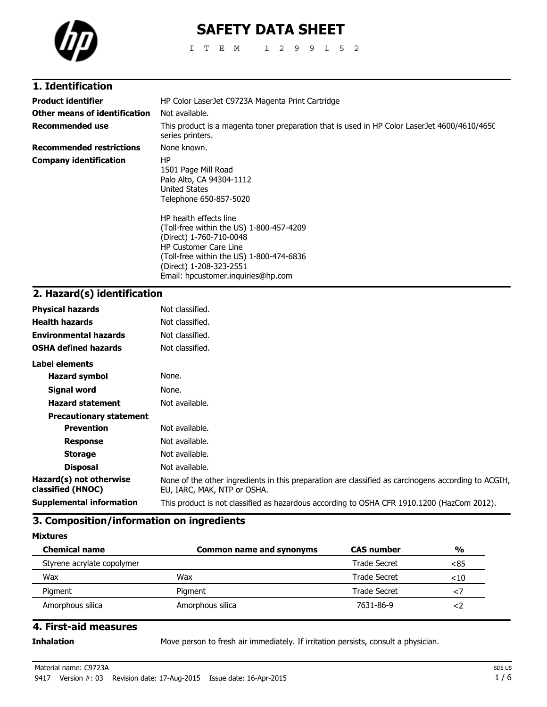

# **SAFETY DATA SHEET**

ITEM 1299152

### **1. Identification**

| <b>Product identifier</b>       | HP Color LaserJet C9723A Magenta Print Cartridge                                                                                                                                                                                                                                                                                               |  |
|---------------------------------|------------------------------------------------------------------------------------------------------------------------------------------------------------------------------------------------------------------------------------------------------------------------------------------------------------------------------------------------|--|
| Other means of identification   | Not available.                                                                                                                                                                                                                                                                                                                                 |  |
| Recommended use                 | This product is a magenta toner preparation that is used in HP Color LaserJet 4600/4610/4650<br>series printers.                                                                                                                                                                                                                               |  |
| <b>Recommended restrictions</b> | None known.                                                                                                                                                                                                                                                                                                                                    |  |
| <b>Company identification</b>   | HP<br>1501 Page Mill Road<br>Palo Alto, CA 94304-1112<br>United States<br>Telephone 650-857-5020<br>HP health effects line<br>(Toll-free within the US) 1-800-457-4209<br>(Direct) 1-760-710-0048<br><b>HP Customer Care Line</b><br>(Toll-free within the US) 1-800-474-6836<br>(Direct) 1-208-323-2551<br>Email: hpcustomer.inguiries@hp.com |  |

## **2. Hazard(s) identification**

| <b>Physical hazards</b>                      | Not classified.                                                                                                                    |
|----------------------------------------------|------------------------------------------------------------------------------------------------------------------------------------|
| <b>Health hazards</b>                        | Not classified.                                                                                                                    |
| <b>Environmental hazards</b>                 | Not classified.                                                                                                                    |
| <b>OSHA defined hazards</b>                  | Not classified.                                                                                                                    |
| <b>Label elements</b>                        |                                                                                                                                    |
| <b>Hazard symbol</b>                         | None.                                                                                                                              |
| Signal word                                  | None.                                                                                                                              |
| <b>Hazard statement</b>                      | Not available.                                                                                                                     |
| <b>Precautionary statement</b>               |                                                                                                                                    |
| <b>Prevention</b>                            | Not available.                                                                                                                     |
| <b>Response</b>                              | Not available.                                                                                                                     |
| <b>Storage</b>                               | Not available.                                                                                                                     |
| <b>Disposal</b>                              | Not available.                                                                                                                     |
| Hazard(s) not otherwise<br>classified (HNOC) | None of the other ingredients in this preparation are classified as carcinogens according to ACGIH,<br>EU, IARC, MAK, NTP or OSHA. |
| <b>Supplemental information</b>              | This product is not classified as hazardous according to OSHA CFR 1910.1200 (HazCom 2012).                                         |

### **3. Composition/information on ingredients**

**Mixtures**

| <b>Chemical name</b>       | <b>Common name and synonyms</b> | <b>CAS number</b> | $\frac{0}{0}$ |
|----------------------------|---------------------------------|-------------------|---------------|
| Styrene acrylate copolymer |                                 | Trade Secret      | <85           |
| Wax                        | Wax                             | Trade Secret      | $<$ 10        |
| Pigment                    | Pigment                         | Trade Secret      |               |
| Amorphous silica           | Amorphous silica                | 7631-86-9         |               |

### **4. First-aid measures**

**Inhalation** Move person to fresh air immediately. If irritation persists, consult a physician.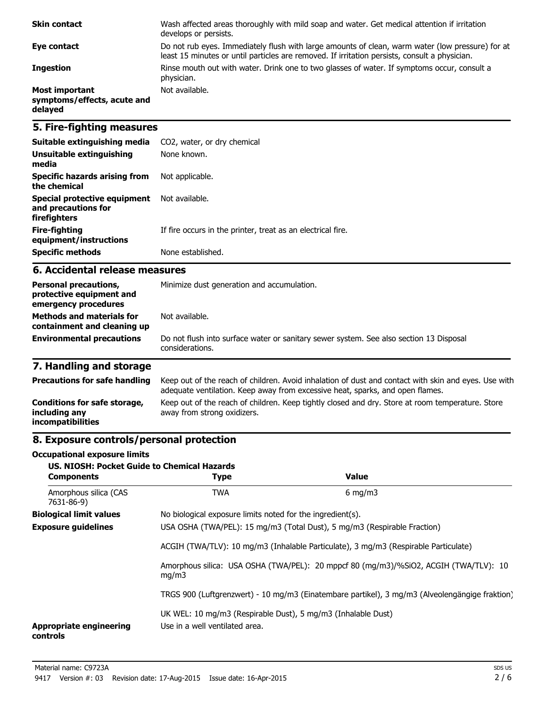| <b>Skin contact</b>                                             | Wash affected areas thoroughly with mild soap and water. Get medical attention if irritation<br>develops or persists.                                                                             |
|-----------------------------------------------------------------|---------------------------------------------------------------------------------------------------------------------------------------------------------------------------------------------------|
| Eye contact                                                     | Do not rub eyes. Immediately flush with large amounts of clean, warm water (low pressure) for at<br>least 15 minutes or until particles are removed. If irritation persists, consult a physician. |
| <b>Ingestion</b>                                                | Rinse mouth out with water. Drink one to two glasses of water. If symptoms occur, consult a<br>physician.                                                                                         |
| <b>Most important</b><br>symptoms/effects, acute and<br>delayed | Not available.                                                                                                                                                                                    |

### **5. Fire-fighting measures**

| Suitable extinguishing media                                        | CO2, water, or dry chemical                                 |
|---------------------------------------------------------------------|-------------------------------------------------------------|
| Unsuitable extinguishing<br>media                                   | None known.                                                 |
| Specific hazards arising from<br>the chemical                       | Not applicable.                                             |
| Special protective equipment<br>and precautions for<br>firefighters | Not available.                                              |
| Fire-fighting<br>equipment/instructions                             | If fire occurs in the printer, treat as an electrical fire. |
| <b>Specific methods</b>                                             | None established.                                           |

#### **6. Accidental release measures**

| <b>Personal precautions,</b><br>protective equipment and<br>emergency procedures | Minimize dust generation and accumulation.                                                                |  |
|----------------------------------------------------------------------------------|-----------------------------------------------------------------------------------------------------------|--|
| <b>Methods and materials for</b><br>containment and cleaning up                  | Not available.                                                                                            |  |
| <b>Environmental precautions</b>                                                 | Do not flush into surface water or sanitary sewer system. See also section 13 Disposal<br>considerations. |  |

## **7. Handling and storage**

| <b>Precautions for safe handling</b>                               | Keep out of the reach of children. Avoid inhalation of dust and contact with skin and eyes. Use with<br>adequate ventilation. Keep away from excessive heat, sparks, and open flames. |
|--------------------------------------------------------------------|---------------------------------------------------------------------------------------------------------------------------------------------------------------------------------------|
| Conditions for safe storage,<br>including any<br>incompatibilities | Keep out of the reach of children. Keep tightly closed and dry. Store at room temperature. Store<br>away from strong oxidizers.                                                       |

### **8. Exposure controls/personal protection**

#### **Occupational exposure limits**

| <b>US. NIOSH: Pocket Guide to Chemical Hazards</b><br><b>Components</b> | <b>Type</b>                                                                                                                                                     | <b>Value</b>                                                                         |
|-------------------------------------------------------------------------|-----------------------------------------------------------------------------------------------------------------------------------------------------------------|--------------------------------------------------------------------------------------|
| Amorphous silica (CAS<br>7631-86-9)                                     | <b>TWA</b>                                                                                                                                                      | $6 \text{ mg/m}$                                                                     |
| <b>Biological limit values</b>                                          | No biological exposure limits noted for the ingredient(s).                                                                                                      |                                                                                      |
| <b>Exposure guidelines</b>                                              | USA OSHA (TWA/PEL): 15 mg/m3 (Total Dust), 5 mg/m3 (Respirable Fraction)<br>ACGIH (TWA/TLV): 10 mg/m3 (Inhalable Particulate), 3 mg/m3 (Respirable Particulate) |                                                                                      |
|                                                                         |                                                                                                                                                                 |                                                                                      |
| mq/m3                                                                   |                                                                                                                                                                 | Amorphous silica: USA OSHA (TWA/PEL): 20 mppcf 80 (mg/m3)/%SiO2, ACGIH (TWA/TLV): 10 |
|                                                                         | TRGS 900 (Luftgrenzwert) - 10 mg/m3 (Einatembare partikel), 3 mg/m3 (Alveolengängige fraktion)                                                                  |                                                                                      |
| <b>Appropriate engineering</b><br>controls                              | UK WEL: 10 mg/m3 (Respirable Dust), 5 mg/m3 (Inhalable Dust)<br>Use in a well ventilated area.                                                                  |                                                                                      |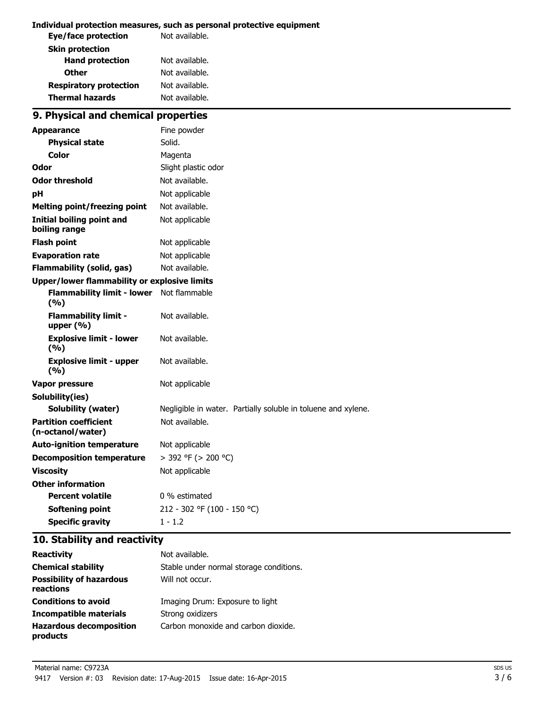#### **Individual protection measures, such as personal protective equipment**

| Eye/face protection           | Not available. |
|-------------------------------|----------------|
| <b>Skin protection</b>        |                |
| <b>Hand protection</b>        | Not available. |
| <b>Other</b>                  | Not available. |
| <b>Respiratory protection</b> | Not available. |
| <b>Thermal hazards</b>        | Not available. |

## **9. Physical and chemical properties**

| <b>Appearance</b>                                   | Fine powder                                                   |
|-----------------------------------------------------|---------------------------------------------------------------|
| <b>Physical state</b>                               | Solid.                                                        |
| Color                                               | Magenta                                                       |
| Odor                                                | Slight plastic odor                                           |
| <b>Odor threshold</b>                               | Not available.                                                |
| рH                                                  | Not applicable                                                |
| <b>Melting point/freezing point</b>                 | Not available.                                                |
| <b>Initial boiling point and</b><br>boiling range   | Not applicable                                                |
| <b>Flash point</b>                                  | Not applicable                                                |
| <b>Evaporation rate</b>                             | Not applicable                                                |
| <b>Flammability (solid, gas)</b>                    | Not available.                                                |
| <b>Upper/lower flammability or explosive limits</b> |                                                               |
| <b>Flammability limit - lower</b><br>(9/6)          | Not flammable                                                 |
| <b>Flammability limit -</b><br>upper $(% )$         | Not available.                                                |
| <b>Explosive limit - lower</b><br>(9/6)             | Not available.                                                |
| <b>Explosive limit - upper</b><br>(9/6)             | Not available.                                                |
| <b>Vapor pressure</b>                               | Not applicable                                                |
| Solubility(ies)                                     |                                                               |
| <b>Solubility (water)</b>                           | Negligible in water. Partially soluble in toluene and xylene. |
| <b>Partition coefficient</b><br>(n-octanol/water)   | Not available.                                                |
| <b>Auto-ignition temperature</b>                    | Not applicable                                                |
| <b>Decomposition temperature</b>                    | $>$ 392 °F ( $>$ 200 °C)                                      |
| <b>Viscosity</b>                                    | Not applicable                                                |
| <b>Other information</b>                            |                                                               |
| <b>Percent volatile</b>                             | 0 % estimated                                                 |
| Softening point                                     | 212 - 302 °F (100 - 150 °C)                                   |
| <b>Specific gravity</b>                             | $1 - 1.2$                                                     |

### **10. Stability and reactivity**

| <b>Reactivity</b>                            | Not available.                          |
|----------------------------------------------|-----------------------------------------|
| <b>Chemical stability</b>                    | Stable under normal storage conditions. |
| <b>Possibility of hazardous</b><br>reactions | Will not occur.                         |
| <b>Conditions to avoid</b>                   | Imaging Drum: Exposure to light         |
| Incompatible materials                       | Strong oxidizers                        |
| <b>Hazardous decomposition</b><br>products   | Carbon monoxide and carbon dioxide.     |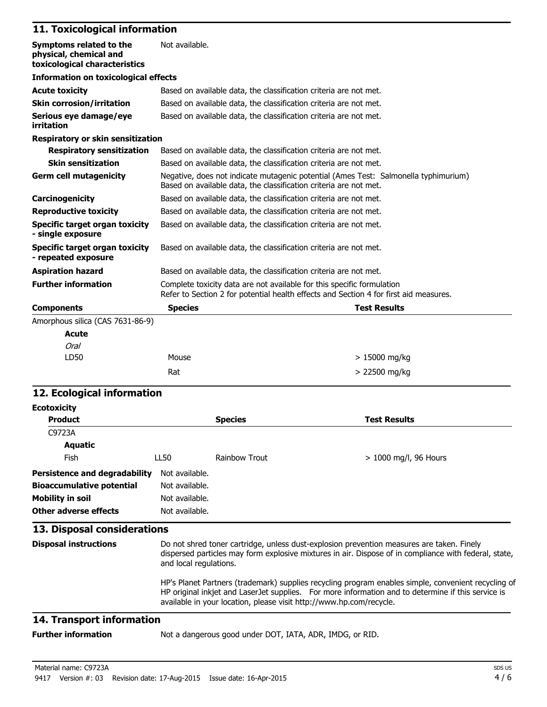## **11. Toxicological information**

| Symptoms related to the<br>physical, chemical and<br>toxicological characteristics | Not available.                                                                                                                                                  |                     |
|------------------------------------------------------------------------------------|-----------------------------------------------------------------------------------------------------------------------------------------------------------------|---------------------|
| <b>Information on toxicological effects</b>                                        |                                                                                                                                                                 |                     |
| <b>Acute toxicity</b>                                                              | Based on available data, the classification criteria are not met.                                                                                               |                     |
| <b>Skin corrosion/irritation</b>                                                   | Based on available data, the classification criteria are not met.                                                                                               |                     |
| Serious eye damage/eye<br>irritation                                               | Based on available data, the classification criteria are not met.                                                                                               |                     |
| <b>Respiratory or skin sensitization</b>                                           |                                                                                                                                                                 |                     |
| <b>Respiratory sensitization</b>                                                   | Based on available data, the classification criteria are not met.                                                                                               |                     |
| <b>Skin sensitization</b>                                                          | Based on available data, the classification criteria are not met.                                                                                               |                     |
| <b>Germ cell mutagenicity</b>                                                      | Negative, does not indicate mutagenic potential (Ames Test: Salmonella typhimurium)<br>Based on available data, the classification criteria are not met.        |                     |
| Carcinogenicity                                                                    | Based on available data, the classification criteria are not met.                                                                                               |                     |
| <b>Reproductive toxicity</b>                                                       | Based on available data, the classification criteria are not met.                                                                                               |                     |
| Specific target organ toxicity<br>- single exposure                                | Based on available data, the classification criteria are not met.                                                                                               |                     |
| Specific target organ toxicity<br>- repeated exposure                              | Based on available data, the classification criteria are not met.                                                                                               |                     |
| <b>Aspiration hazard</b>                                                           | Based on available data, the classification criteria are not met.                                                                                               |                     |
| <b>Further information</b>                                                         | Complete toxicity data are not available for this specific formulation<br>Refer to Section 2 for potential health effects and Section 4 for first aid measures. |                     |
| <b>Components</b>                                                                  | <b>Species</b>                                                                                                                                                  | <b>Test Results</b> |
| Amorphous silica (CAS 7631-86-9)                                                   |                                                                                                                                                                 |                     |
| <b>Acute</b>                                                                       |                                                                                                                                                                 |                     |
| <b>Oral</b>                                                                        |                                                                                                                                                                 |                     |
| LD50                                                                               | Mouse                                                                                                                                                           | $>15000$ mg/kg      |
|                                                                                    | Rat                                                                                                                                                             | > 22500 mg/kg       |

### **12. Ecological information**

| <b>Ecotoxicity</b>                                                                                             |                                                                                                                                                                                                                                                                                  |                      |                         |
|----------------------------------------------------------------------------------------------------------------|----------------------------------------------------------------------------------------------------------------------------------------------------------------------------------------------------------------------------------------------------------------------------------|----------------------|-------------------------|
| <b>Product</b>                                                                                                 |                                                                                                                                                                                                                                                                                  | <b>Species</b>       | <b>Test Results</b>     |
| C9723A                                                                                                         |                                                                                                                                                                                                                                                                                  |                      |                         |
| Aquatic                                                                                                        |                                                                                                                                                                                                                                                                                  |                      |                         |
| Fish                                                                                                           | LL50                                                                                                                                                                                                                                                                             | <b>Rainbow Trout</b> | $> 1000$ mg/l, 96 Hours |
| Persistence and degradability<br><b>Bioaccumulative potential</b><br>Mobility in soil<br>Other adverse effects | Not available.<br>Not available.<br>Not available.<br>Not available.                                                                                                                                                                                                             |                      |                         |
| 13. Disposal considerations                                                                                    |                                                                                                                                                                                                                                                                                  |                      |                         |
| <b>Disposal instructions</b>                                                                                   | Do not shred toner cartridge, unless dust-explosion prevention measures are taken. Finely<br>dispersed particles may form explosive mixtures in air. Dispose of in compliance with federal, state,<br>and local regulations.                                                     |                      |                         |
|                                                                                                                | HP's Planet Partners (trademark) supplies recycling program enables simple, convenient recycling of<br>HP original inkjet and LaserJet supplies. For more information and to determine if this service is<br>available in your location, please visit http://www.hp.com/recycle. |                      |                         |

### **14. Transport information**

**Further information** Not a dangerous good under DOT, IATA, ADR, IMDG, or RID.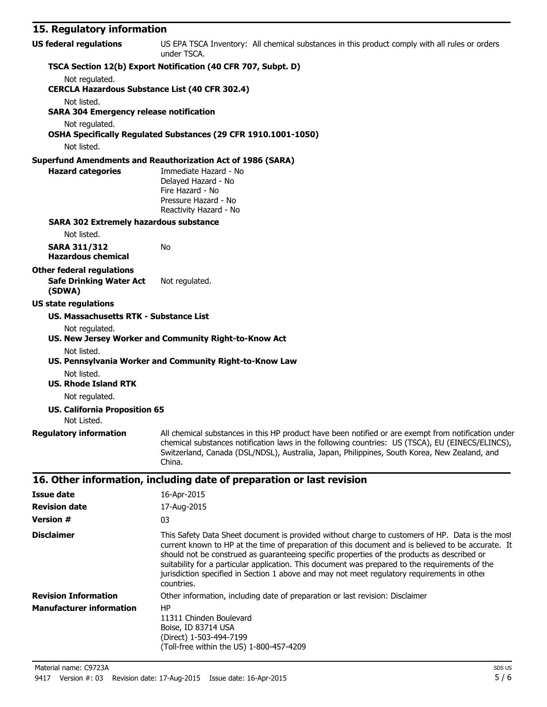### **15. Regulatory information**

| TS: Incanator I<br>""""""""""""                               |                                                                                                                                                                                                                                                                                                                                          |
|---------------------------------------------------------------|------------------------------------------------------------------------------------------------------------------------------------------------------------------------------------------------------------------------------------------------------------------------------------------------------------------------------------------|
| <b>US federal regulations</b>                                 | US EPA TSCA Inventory: All chemical substances in this product comply with all rules or orders<br>under TSCA.                                                                                                                                                                                                                            |
|                                                               | TSCA Section 12(b) Export Notification (40 CFR 707, Subpt. D)                                                                                                                                                                                                                                                                            |
| Not regulated.                                                |                                                                                                                                                                                                                                                                                                                                          |
| <b>CERCLA Hazardous Substance List (40 CFR 302.4)</b>         |                                                                                                                                                                                                                                                                                                                                          |
| Not listed.<br><b>SARA 304 Emergency release notification</b> |                                                                                                                                                                                                                                                                                                                                          |
| Not regulated.                                                |                                                                                                                                                                                                                                                                                                                                          |
|                                                               | OSHA Specifically Regulated Substances (29 CFR 1910.1001-1050)                                                                                                                                                                                                                                                                           |
| Not listed.                                                   |                                                                                                                                                                                                                                                                                                                                          |
|                                                               | <b>Superfund Amendments and Reauthorization Act of 1986 (SARA)</b>                                                                                                                                                                                                                                                                       |
| <b>Hazard categories</b>                                      | Immediate Hazard - No<br>Delayed Hazard - No<br>Fire Hazard - No<br>Pressure Hazard - No<br>Reactivity Hazard - No                                                                                                                                                                                                                       |
| <b>SARA 302 Extremely hazardous substance</b>                 |                                                                                                                                                                                                                                                                                                                                          |
| Not listed.                                                   |                                                                                                                                                                                                                                                                                                                                          |
| <b>SARA 311/312</b><br><b>Hazardous chemical</b>              | No                                                                                                                                                                                                                                                                                                                                       |
| <b>Other federal regulations</b>                              |                                                                                                                                                                                                                                                                                                                                          |
| <b>Safe Drinking Water Act</b><br>(SDWA)                      | Not regulated.                                                                                                                                                                                                                                                                                                                           |
| <b>US state regulations</b>                                   |                                                                                                                                                                                                                                                                                                                                          |
| <b>US. Massachusetts RTK - Substance List</b>                 |                                                                                                                                                                                                                                                                                                                                          |
| Not regulated.                                                | US. New Jersey Worker and Community Right-to-Know Act                                                                                                                                                                                                                                                                                    |
| Not listed.                                                   | US. Pennsylvania Worker and Community Right-to-Know Law                                                                                                                                                                                                                                                                                  |
| Not listed.                                                   |                                                                                                                                                                                                                                                                                                                                          |
| <b>US. Rhode Island RTK</b>                                   |                                                                                                                                                                                                                                                                                                                                          |
| Not regulated.                                                |                                                                                                                                                                                                                                                                                                                                          |
| <b>US. California Proposition 65</b><br>Not Listed.           |                                                                                                                                                                                                                                                                                                                                          |
|                                                               | Regulatory information All chemical substances in this HP product have been notified or are exempt from notification under<br>chemical substances notification laws in the following countries: US (TSCA), EU (EINECS/ELINCS),<br>Switzerland, Canada (DSL/NDSL), Australia, Japan, Philippines, South Korea, New Zealand, and<br>China. |
|                                                               | 16. Other information, including date of preparation or last revision                                                                                                                                                                                                                                                                    |
| <b>Issue date</b>                                             | 16-Apr-2015                                                                                                                                                                                                                                                                                                                              |
| <b>Revision date</b>                                          | 17-Aug-2015                                                                                                                                                                                                                                                                                                                              |

| NGVISIVII UULG                  | II AUY CUIJ                                                                                                                                                                                                                                                                                                                                                                                                                                                                                                          |  |
|---------------------------------|----------------------------------------------------------------------------------------------------------------------------------------------------------------------------------------------------------------------------------------------------------------------------------------------------------------------------------------------------------------------------------------------------------------------------------------------------------------------------------------------------------------------|--|
| <b>Version #</b>                | 03                                                                                                                                                                                                                                                                                                                                                                                                                                                                                                                   |  |
| <b>Disclaimer</b>               | This Safety Data Sheet document is provided without charge to customers of HP. Data is the most<br>current known to HP at the time of preparation of this document and is believed to be accurate. It<br>should not be construed as guaranteeing specific properties of the products as described or<br>suitability for a particular application. This document was prepared to the requirements of the<br>jurisdiction specified in Section 1 above and may not meet regulatory requirements in other<br>countries. |  |
| <b>Revision Information</b>     | Other information, including date of preparation or last revision: Disclaimer                                                                                                                                                                                                                                                                                                                                                                                                                                        |  |
| <b>Manufacturer information</b> | HP<br>11311 Chinden Boulevard<br>Boise, ID 83714 USA<br>(Direct) 1-503-494-7199<br>(Toll-free within the US) 1-800-457-4209                                                                                                                                                                                                                                                                                                                                                                                          |  |